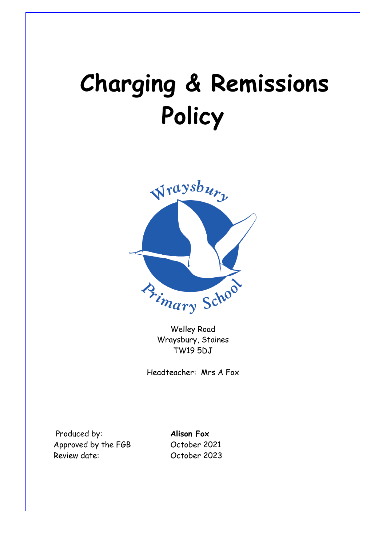# **Charging & Remissions Policy**



Welley Road Wraysbury, Staines TW19 5DJ

Headteacher: Mrs A Fox

 Produced by: **Alison Fox** Approved by the FGB October 2021 Review date: October 2023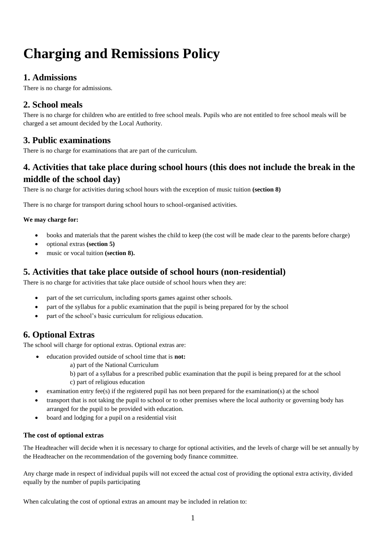# **Charging and Remissions Policy**

# **1. Admissions**

There is no charge for admissions.

# **2. School meals**

There is no charge for children who are entitled to free school meals. Pupils who are not entitled to free school meals will be charged a set amount decided by the Local Authority.

# **3. Public examinations**

There is no charge for examinations that are part of the curriculum.

# **4. Activities that take place during school hours (this does not include the break in the middle of the school day)**

There is no charge for activities during school hours with the exception of music tuition **(section 8)**

There is no charge for transport during school hours to school-organised activities.

#### **We may charge for:**

- books and materials that the parent wishes the child to keep (the cost will be made clear to the parents before charge)
- optional extras **(section 5)**
- music or vocal tuition **(section 8).**

# **5. Activities that take place outside of school hours (non-residential)**

There is no charge for activities that take place outside of school hours when they are:

- part of the set curriculum, including sports games against other schools.
- part of the syllabus for a public examination that the pupil is being prepared for by the school
- part of the school's basic curriculum for religious education.

# **6. Optional Extras**

The school will charge for optional extras. Optional extras are:

- education provided outside of school time that is **not:**
	- a) part of the National Curriculum
	- b) part of a syllabus for a prescribed public examination that the pupil is being prepared for at the school c) part of religious education
- examination entry fee(s) if the registered pupil has not been prepared for the examination(s) at the school
- transport that is not taking the pupil to school or to other premises where the local authority or governing body has arranged for the pupil to be provided with education*.*
- board and lodging for a pupil on a residential visit

#### **The cost of optional extras**

The Headteacher will decide when it is necessary to charge for optional activities, and the levels of charge will be set annually by the Headteacher on the recommendation of the governing body finance committee.

Any charge made in respect of individual pupils will not exceed the actual cost of providing the optional extra activity, divided equally by the number of pupils participating

When calculating the cost of optional extras an amount may be included in relation to: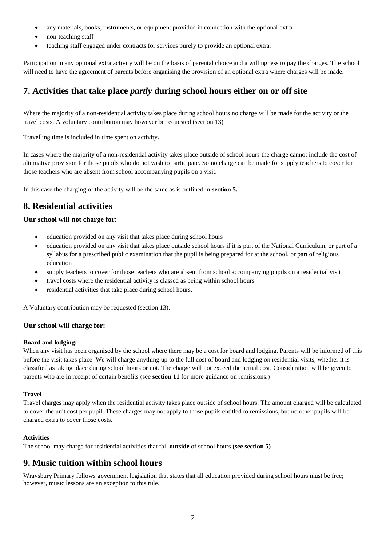- any materials, books, instruments, or equipment provided in connection with the optional extra
- non-teaching staff
- teaching staff engaged under contracts for services purely to provide an optional extra.

Participation in any optional extra activity will be on the basis of parental choice and a willingness to pay the charges. The school will need to have the agreement of parents before organising the provision of an optional extra where charges will be made.

# **7. Activities that take place** *partly* **during school hours either on or off site**

Where the majority of a non-residential activity takes place during school hours no charge will be made for the activity or the travel costs. A voluntary contribution may however be requested (section 13)

Travelling time is included in time spent on activity.

In cases where the majority of a non-residential activity takes place outside of school hours the charge cannot include the cost of alternative provision for those pupils who do not wish to participate. So no charge can be made for supply teachers to cover for those teachers who are absent from school accompanying pupils on a visit.

In this case the charging of the activity will be the same as is outlined in **section 5.**

# **8. Residential activities**

#### **Our school will not charge for:**

- education provided on any visit that takes place during school hours
- education provided on any visit that takes place outside school hours if it is part of the National Curriculum, or part of a syllabus for a prescribed public examination that the pupil is being prepared for at the school, or part of religious education
- supply teachers to cover for those teachers who are absent from school accompanying pupils on a residential visit
- travel costs where the residential activity is classed as being within school hours
- residential activities that take place during school hours.

A Voluntary contribution may be requested (section 13).

#### **Our school will charge for:**

#### **Board and lodging:**

When any visit has been organised by the school where there may be a cost for board and lodging. Parents will be informed of this before the visit takes place. We will charge anything up to the full cost of board and lodging on residential visits, whether it is classified as taking place during school hours or not. The charge will not exceed the actual cost. Consideration will be given to parents who are in receipt of certain benefits (see **section 11** for more guidance on remissions.)

#### **Travel**

Travel charges may apply when the residential activity takes place outside of school hours. The amount charged will be calculated to cover the unit cost per pupil. These charges may not apply to those pupils entitled to remissions, but no other pupils will be charged extra to cover those costs.

#### **Activities**

The school may charge for residential activities that fall **outside** of school hours **(see section 5)**

## **9. Music tuition within school hours**

Wraysbury Primary follows government legislation that states that all education provided during school hours must be free; however, music lessons are an exception to this rule.